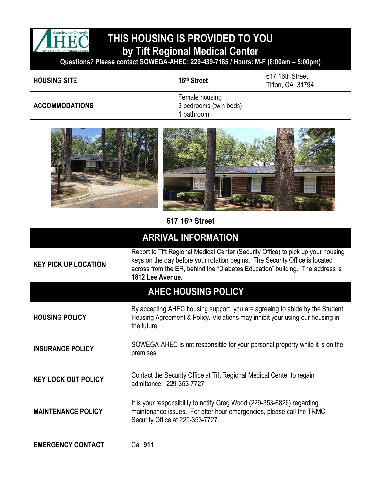

## **THIS HOUSING IS PROVIDED TO YOU by Tift Regional Medical Center**

**Questions? Please contact SOWEGA-AHEC: 229-439-7185 / Hours: M-F (8:00am – 5:00pm)**

| <b>HOUSING SITE</b>   | 16th Street                                            | 617 16th Street<br><b>Tifton, GA 31794</b> |
|-----------------------|--------------------------------------------------------|--------------------------------------------|
| <b>ACCOMMODATIONS</b> | Female housing<br>3 bedrooms (twin beds)<br>I bathroom |                                            |



## **617 16th Street**

## **ARRIVAL INFORMATION**

| <b>KEY PICK UP LOCATION</b> | Report to Tift Regional Medical Center (Security Office) to pick up your housing<br>keys on the day before your rotation begins. The Security Office is located<br>across from the ER, behind the "Diabetes Education" building. The address is<br>1812 Lee Avenue. |  |
|-----------------------------|---------------------------------------------------------------------------------------------------------------------------------------------------------------------------------------------------------------------------------------------------------------------|--|
| <b>AHEC HOUSING POLICY</b>  |                                                                                                                                                                                                                                                                     |  |
| <b>HOUSING POLICY</b>       | By accepting AHEC housing support, you are agreeing to abide by the Student<br>Housing Agreement & Policy. Violations may inhibit your using our housing in<br>the future.                                                                                          |  |
| <b>INSURANCE POLICY</b>     | SOWEGA-AHEC is not responsible for your personal property while it is on the<br>premises.                                                                                                                                                                           |  |
| <b>KEY LOCK OUT POLICY</b>  | Contact the Security Office at Tift Regional Medical Center to regain<br>admittance: 229-353-7727                                                                                                                                                                   |  |
| <b>MAINTENANCE POLICY</b>   | It is your responsibility to notify Greg Wood (229-353-6826) regarding<br>maintenance issues. For after hour emergencies, please call the TRMC<br>Security Office at 229-353-7727.                                                                                  |  |
| <b>EMERGENCY CONTACT</b>    | <b>Call 911</b>                                                                                                                                                                                                                                                     |  |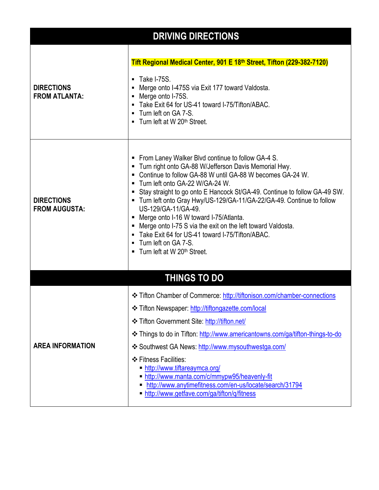| <b>DRIVING DIRECTIONS</b>                 |                                                                                                                                                                                                                                                                                                                                                                                                                                                                                                                                                                                                                                       |  |
|-------------------------------------------|---------------------------------------------------------------------------------------------------------------------------------------------------------------------------------------------------------------------------------------------------------------------------------------------------------------------------------------------------------------------------------------------------------------------------------------------------------------------------------------------------------------------------------------------------------------------------------------------------------------------------------------|--|
|                                           | Tift Regional Medical Center, 901 E 18th Street, Tifton (229-382-7120)                                                                                                                                                                                                                                                                                                                                                                                                                                                                                                                                                                |  |
| <b>DIRECTIONS</b><br><b>FROM ATLANTA:</b> | $\blacksquare$ Take I-75S.<br>Merge onto I-475S via Exit 177 toward Valdosta.<br>Merge onto I-75S.<br>Take Exit 64 for US-41 toward I-75/Tifton/ABAC.<br>• Turn left on GA 7-S.<br>• Turn left at W 20 <sup>th</sup> Street.                                                                                                                                                                                                                                                                                                                                                                                                          |  |
| <b>DIRECTIONS</b><br><b>FROM AUGUSTA:</b> | • From Laney Walker Blvd continue to follow GA-4 S.<br>■ Turn right onto GA-88 W/Jefferson Davis Memorial Hwy.<br>• Continue to follow GA-88 W until GA-88 W becomes GA-24 W.<br>■ Turn left onto GA-22 W/GA-24 W.<br>Stay straight to go onto E Hancock St/GA-49. Continue to follow GA-49 SW.<br>■ Turn left onto Gray Hwy/US-129/GA-11/GA-22/GA-49. Continue to follow<br>US-129/GA-11/GA-49.<br>Merge onto I-16 W toward I-75/Atlanta.<br>■ Merge onto I-75 S via the exit on the left toward Valdosta.<br>• Take Exit 64 for US-41 toward I-75/Tifton/ABAC.<br>Turn left on GA 7-S.<br>■ Turn left at W 20 <sup>th</sup> Street. |  |
|                                           | <b>THINGS TO DO</b>                                                                                                                                                                                                                                                                                                                                                                                                                                                                                                                                                                                                                   |  |
| <b>AREA INFORMATION</b>                   | <b>❖ Tifton Chamber of Commerce: http://tiftonison.com/chamber-connections</b><br>❖ Tifton Newspaper: http://tiftongazette.com/local<br>❖ Tifton Government Site: http://tifton.net/<br>Latings to do in Tifton: http://www.americantowns.com/ga/tifton-things-to-do<br>❖ Southwest GA News: http://www.mysouthwestga.com/<br>❖ Fitness Facilities:<br>http://www.tiftareaymca.org/<br>http://www.manta.com/c/mmypw95/heavenly-fit<br>http://www.anytimefitness.com/en-us/locate/search/31794<br>http://www.getfave.com/ga/tifton/q/fitness                                                                                           |  |